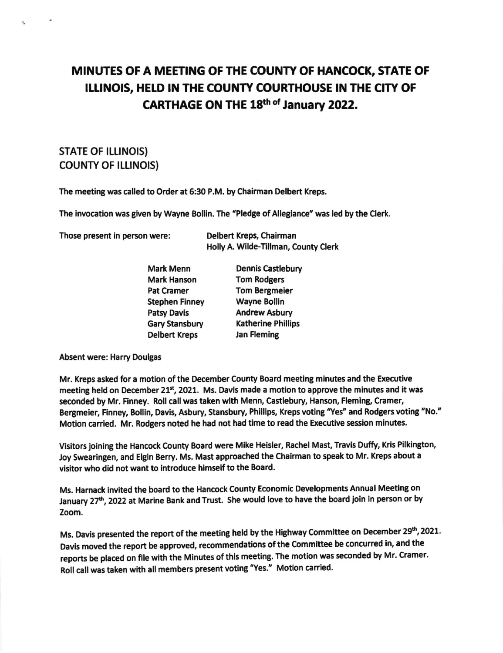## MINUTES OF A MEETING OF THE COUNTY OF HANCOCK, STATE OF ILLINOIS, HELD IN THE COUNTY COURTHOUSE IN THE CITY OF CARTHAGE ON THE 18th of January 2022.

## **STATE OF ILLINOIS) COUNTY OF ILLINOIS)**

The meeting was called to Order at 6:30 P.M. by Chairman Delbert Kreps.

The invocation was given by Wayne Bollin. The "Pledge of Allegiance" was led by the Clerk.

Those present in person were:

Delbert Kreps, Chairman Holly A. Wilde-Tillman, County Clerk

| <b>Mark Menn</b>      | <b>Dennis Castlebury</b>  |
|-----------------------|---------------------------|
| <b>Mark Hanson</b>    | <b>Tom Rodgers</b>        |
| <b>Pat Cramer</b>     | <b>Tom Bergmeier</b>      |
| <b>Stephen Finney</b> | <b>Wayne Bollin</b>       |
| <b>Patsy Davis</b>    | <b>Andrew Asbury</b>      |
| Gary Stansbury        | <b>Katherine Phillips</b> |
| <b>Delbert Kreps</b>  | <b>Jan Fleming</b>        |

**Absent were: Harry Doulgas** 

Mr. Kreps asked for a motion of the December County Board meeting minutes and the Executive meeting held on December 21st, 2021. Ms. Davis made a motion to approve the minutes and it was seconded by Mr. Finney. Roll call was taken with Menn, Castlebury, Hanson, Fleming, Cramer, Bergmeier, Finney, Bollin, Davis, Asbury, Stansbury, Phillips, Kreps voting "Yes" and Rodgers voting "No." Motion carried. Mr. Rodgers noted he had not had time to read the Executive session minutes.

Visitors joining the Hancock County Board were Mike Heisler, Rachel Mast, Travis Duffy, Kris Pilkington, Joy Swearingen, and Elgin Berry. Ms. Mast approached the Chairman to speak to Mr. Kreps about a visitor who did not want to introduce himself to the Board.

Ms. Harnack invited the board to the Hancock County Economic Developments Annual Meeting on January 27th, 2022 at Marine Bank and Trust. She would love to have the board join in person or by Zoom.

Ms. Davis presented the report of the meeting held by the Highway Committee on December 29th, 2021. Davis moved the report be approved, recommendations of the Committee be concurred in, and the reports be placed on file with the Minutes of this meeting. The motion was seconded by Mr. Cramer. Roll call was taken with all members present voting "Yes." Motion carried.